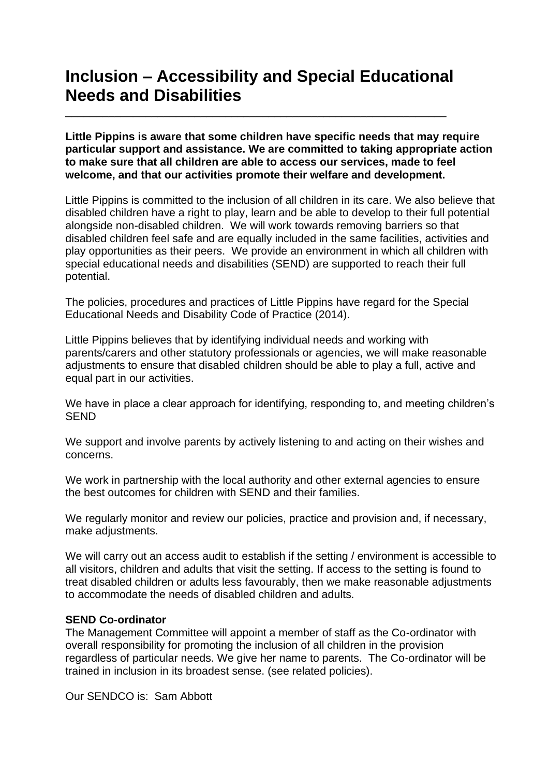## **Inclusion – Accessibility and Special Educational Needs and Disabilities**

\_\_\_\_\_\_\_\_\_\_\_\_\_\_\_\_\_\_\_\_\_\_\_\_\_\_\_\_\_\_\_\_\_\_\_\_\_\_\_\_\_\_\_\_\_\_\_\_\_\_\_\_\_\_\_\_\_\_\_\_\_\_

**Little Pippins is aware that some children have specific needs that may require particular support and assistance. We are committed to taking appropriate action to make sure that all children are able to access our services, made to feel welcome, and that our activities promote their welfare and development.**

Little Pippins is committed to the inclusion of all children in its care. We also believe that disabled children have a right to play, learn and be able to develop to their full potential alongside non-disabled children. We will work towards removing barriers so that disabled children feel safe and are equally included in the same facilities, activities and play opportunities as their peers. We provide an environment in which all children with special educational needs and disabilities (SEND) are supported to reach their full potential.

The policies, procedures and practices of Little Pippins have regard for the Special Educational Needs and Disability Code of Practice (2014).

Little Pippins believes that by identifying individual needs and working with parents/carers and other statutory professionals or agencies, we will make reasonable adjustments to ensure that disabled children should be able to play a full, active and equal part in our activities.

We have in place a clear approach for identifying, responding to, and meeting children's SEND

We support and involve parents by actively listening to and acting on their wishes and concerns.

We work in partnership with the local authority and other external agencies to ensure the best outcomes for children with SEND and their families.

We regularly monitor and review our policies, practice and provision and, if necessary, make adjustments.

We will carry out an access audit to establish if the setting / environment is accessible to all visitors, children and adults that visit the setting. If access to the setting is found to treat disabled children or adults less favourably, then we make reasonable adjustments to accommodate the needs of disabled children and adults.

## **SEND Co-ordinator**

The Management Committee will appoint a member of staff as the Co-ordinator with overall responsibility for promoting the inclusion of all children in the provision regardless of particular needs. We give her name to parents. The Co-ordinator will be trained in inclusion in its broadest sense. (see related policies).

Our SENDCO is: Sam Abbott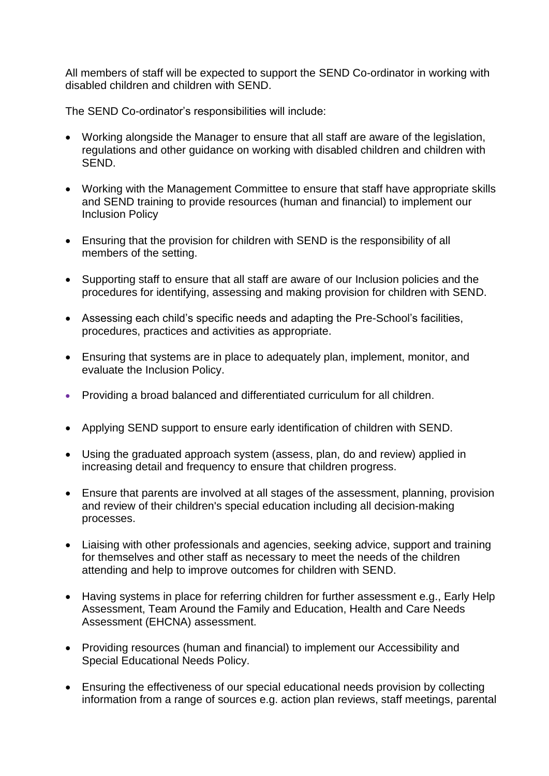All members of staff will be expected to support the SEND Co-ordinator in working with disabled children and children with SEND.

The SEND Co-ordinator's responsibilities will include:

- Working alongside the Manager to ensure that all staff are aware of the legislation, regulations and other guidance on working with disabled children and children with SEND.
- Working with the Management Committee to ensure that staff have appropriate skills and SEND training to provide resources (human and financial) to implement our Inclusion Policy
- Ensuring that the provision for children with SEND is the responsibility of all members of the setting.
- Supporting staff to ensure that all staff are aware of our Inclusion policies and the procedures for identifying, assessing and making provision for children with SEND.
- Assessing each child's specific needs and adapting the Pre-School's facilities, procedures, practices and activities as appropriate.
- Ensuring that systems are in place to adequately plan, implement, monitor, and evaluate the Inclusion Policy.
- Providing a broad balanced and differentiated curriculum for all children.
- Applying SEND support to ensure early identification of children with SEND.
- Using the graduated approach system (assess, plan, do and review) applied in increasing detail and frequency to ensure that children progress.
- Ensure that parents are involved at all stages of the assessment, planning, provision and review of their children's special education including all decision-making processes.
- Liaising with other professionals and agencies, seeking advice, support and training for themselves and other staff as necessary to meet the needs of the children attending and help to improve outcomes for children with SEND.
- Having systems in place for referring children for further assessment e.g., Early Help Assessment, Team Around the Family and Education, Health and Care Needs Assessment (EHCNA) assessment.
- Providing resources (human and financial) to implement our Accessibility and Special Educational Needs Policy.
- Ensuring the effectiveness of our special educational needs provision by collecting information from a range of sources e.g. action plan reviews, staff meetings, parental